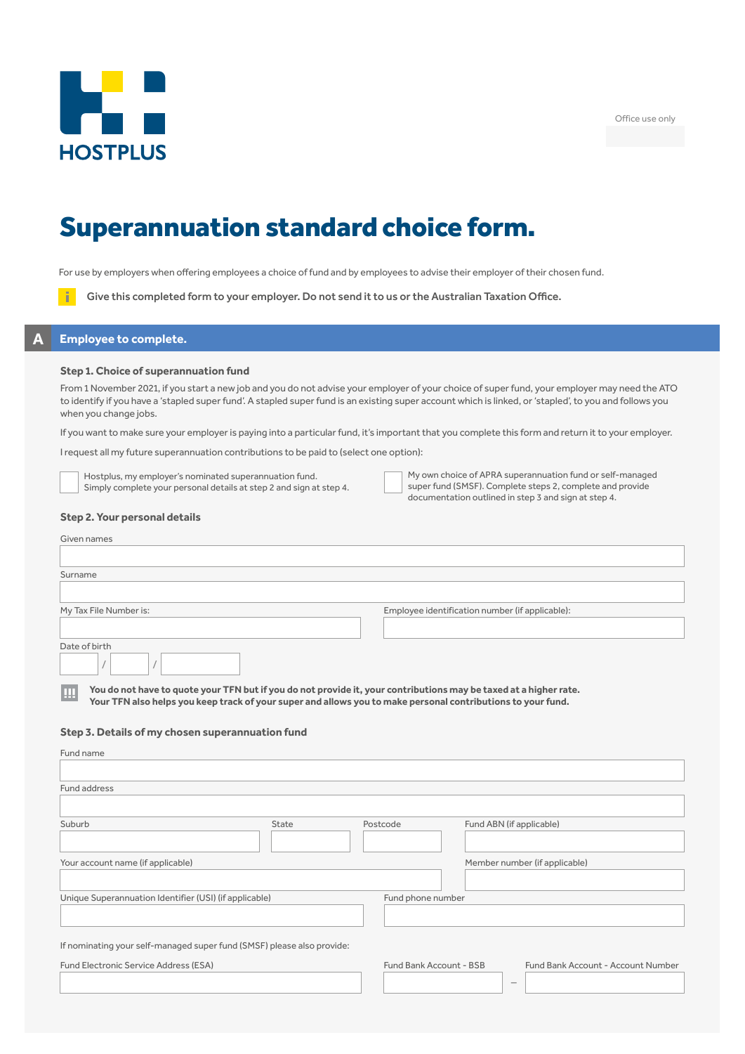

Office use only

# Superannuation standard choice form.

For use by employers when offering employees a choice of fund and by employees to advise their employer of their chosen fund.

Give this completed form to your employer. Do not send it to us or the Australian Taxation Office.

# **A Employee to complete.**

### **Step 1. Choice of superannuation fund**

From 1 November 2021, if you start a new job and you do not advise your employer of your choice of super fund, your employer may need the ATO to identify if you have a 'stapled super fund'. A stapled super fund is an existing super account which is linked, or 'stapled', to you and follows you when you change jobs.

If you want to make sure your employer is paying into a particular fund, it's important that you complete this form and return it to your employer.

I request all my future superannuation contributions to be paid to (select one option):

Hostplus, my employer's nominated superannuation fund. Simply complete your personal details at step 2 and sign at step 4.

| My own choice of APRA superannuation fund or self-managed |
|-----------------------------------------------------------|
| super fund (SMSF). Complete steps 2, complete and provide |
| documentation outlined in step 3 and sign at step 4.      |

## **Step 2. Your personal details**

| Given names                                                                                                                                                                                                                            |                                                 |
|----------------------------------------------------------------------------------------------------------------------------------------------------------------------------------------------------------------------------------------|-------------------------------------------------|
|                                                                                                                                                                                                                                        |                                                 |
| Surname                                                                                                                                                                                                                                |                                                 |
|                                                                                                                                                                                                                                        |                                                 |
| My Tax File Number is:                                                                                                                                                                                                                 | Employee identification number (if applicable): |
|                                                                                                                                                                                                                                        |                                                 |
| Date of birth                                                                                                                                                                                                                          |                                                 |
|                                                                                                                                                                                                                                        |                                                 |
| You do not have to quote your TFN but if you do not provide it, your contributions may be taxed at a higher rate.<br>Ш<br>Your TFN also helps you keep track of your super and allows you to make personal contributions to your fund. |                                                 |

## **Step 3. Details of my chosen superannuation fund**

| State                                                                  | Postcode                | Fund ABN (if applicable)           |
|------------------------------------------------------------------------|-------------------------|------------------------------------|
|                                                                        |                         |                                    |
|                                                                        |                         | Member number (if applicable)      |
|                                                                        |                         |                                    |
| Unique Superannuation Identifier (USI) (if applicable)                 | Fund phone number       |                                    |
|                                                                        |                         |                                    |
| If nominating your self-managed super fund (SMSF) please also provide: |                         |                                    |
|                                                                        | Fund Bank Account - BSB | Fund Bank Account - Account Number |
|                                                                        |                         | $\hspace{0.1mm}-\hspace{0.1mm}$    |
|                                                                        |                         |                                    |